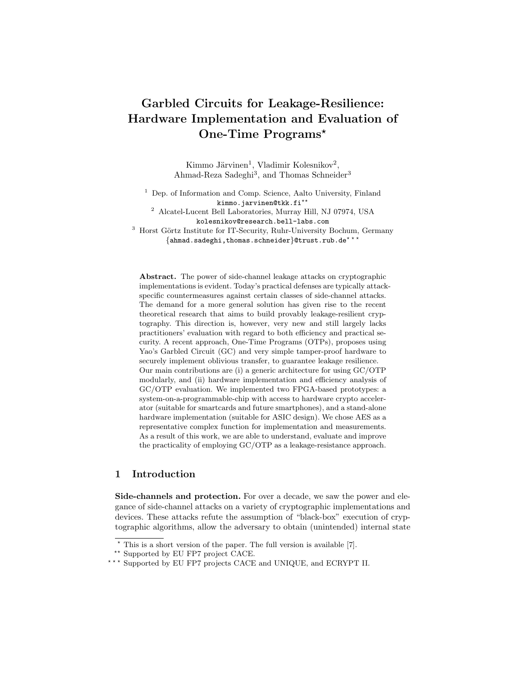# Garbled Circuits for Leakage-Resilience: Hardware Implementation and Evaluation of One-Time Programs\*

Kimmo Järvinen<sup>1</sup>, Vladimir Kolesnikov<sup>2</sup>, Ahmad-Reza Sadeghi<sup>3</sup>, and Thomas Schneider<sup>3</sup>

 $1$  Dep. of Information and Comp. Science, Aalto University, Finland kimmo.jarvinen@tkk.fi<sup>\*\*</sup>

<sup>2</sup> Alcatel-Lucent Bell Laboratories, Murray Hill, NJ 07974, USA kolesnikov@research.bell-labs.com

<sup>3</sup> Horst Görtz Institute for IT-Security, Ruhr-University Bochum, Germany  $\{\text{ahmad.sadeghi},\text{thomas.schneider}\}$ @trust.rub.de<sup>\*\*</sup>

Abstract. The power of side-channel leakage attacks on cryptographic implementations is evident. Today's practical defenses are typically attackspecific countermeasures against certain classes of side-channel attacks. The demand for a more general solution has given rise to the recent theoretical research that aims to build provably leakage-resilient cryptography. This direction is, however, very new and still largely lacks practitioners' evaluation with regard to both efficiency and practical security. A recent approach, One-Time Programs (OTPs), proposes using Yao's Garbled Circuit (GC) and very simple tamper-proof hardware to securely implement oblivious transfer, to guarantee leakage resilience. Our main contributions are (i) a generic architecture for using GC/OTP modularly, and (ii) hardware implementation and efficiency analysis of GC/OTP evaluation. We implemented two FPGA-based prototypes: a system-on-a-programmable-chip with access to hardware crypto accelerator (suitable for smartcards and future smartphones), and a stand-alone hardware implementation (suitable for ASIC design). We chose AES as a representative complex function for implementation and measurements. As a result of this work, we are able to understand, evaluate and improve the practicality of employing GC/OTP as a leakage-resistance approach.

## 1 Introduction

Side-channels and protection. For over a decade, we saw the power and elegance of side-channel attacks on a variety of cryptographic implementations and devices. These attacks refute the assumption of "black-box" execution of cryptographic algorithms, allow the adversary to obtain (unintended) internal state

 $*$  This is a short version of the paper. The full version is available [7].

<sup>\*\*</sup> Supported by EU FP7 project CACE.

<sup>\*\*\*</sup> Supported by EU FP7 projects CACE and UNIQUE, and ECRYPT II.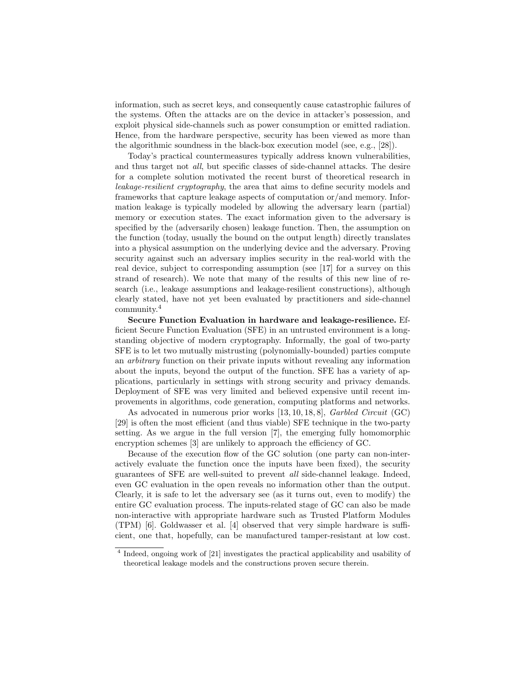information, such as secret keys, and consequently cause catastrophic failures of the systems. Often the attacks are on the device in attacker's possession, and exploit physical side-channels such as power consumption or emitted radiation. Hence, from the hardware perspective, security has been viewed as more than the algorithmic soundness in the black-box execution model (see, e.g., [28]).

Today's practical countermeasures typically address known vulnerabilities, and thus target not all, but specific classes of side-channel attacks. The desire for a complete solution motivated the recent burst of theoretical research in leakage-resilient cryptography, the area that aims to define security models and frameworks that capture leakage aspects of computation or/and memory. Information leakage is typically modeled by allowing the adversary learn (partial) memory or execution states. The exact information given to the adversary is specified by the (adversarily chosen) leakage function. Then, the assumption on the function (today, usually the bound on the output length) directly translates into a physical assumption on the underlying device and the adversary. Proving security against such an adversary implies security in the real-world with the real device, subject to corresponding assumption (see [17] for a survey on this strand of research). We note that many of the results of this new line of research (i.e., leakage assumptions and leakage-resilient constructions), although clearly stated, have not yet been evaluated by practitioners and side-channel community.<sup>4</sup>

Secure Function Evaluation in hardware and leakage-resilience. Efficient Secure Function Evaluation (SFE) in an untrusted environment is a longstanding objective of modern cryptography. Informally, the goal of two-party SFE is to let two mutually mistrusting (polynomially-bounded) parties compute an arbitrary function on their private inputs without revealing any information about the inputs, beyond the output of the function. SFE has a variety of applications, particularly in settings with strong security and privacy demands. Deployment of SFE was very limited and believed expensive until recent improvements in algorithms, code generation, computing platforms and networks.

As advocated in numerous prior works [13, 10, 18, 8], Garbled Circuit (GC) [29] is often the most efficient (and thus viable) SFE technique in the two-party setting. As we argue in the full version [7], the emerging fully homomorphic encryption schemes [3] are unlikely to approach the efficiency of GC.

Because of the execution flow of the GC solution (one party can non-interactively evaluate the function once the inputs have been fixed), the security guarantees of SFE are well-suited to prevent all side-channel leakage. Indeed, even GC evaluation in the open reveals no information other than the output. Clearly, it is safe to let the adversary see (as it turns out, even to modify) the entire GC evaluation process. The inputs-related stage of GC can also be made non-interactive with appropriate hardware such as Trusted Platform Modules (TPM) [6]. Goldwasser et al. [4] observed that very simple hardware is sufficient, one that, hopefully, can be manufactured tamper-resistant at low cost.

<sup>&</sup>lt;sup>4</sup> Indeed, ongoing work of [21] investigates the practical applicability and usability of theoretical leakage models and the constructions proven secure therein.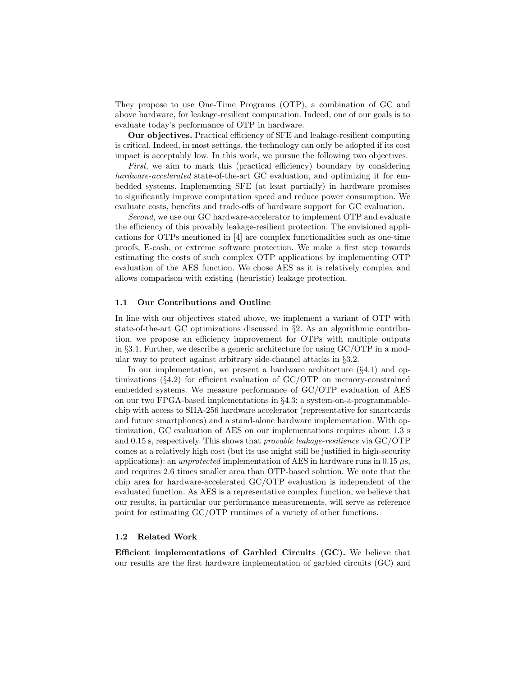They propose to use One-Time Programs (OTP), a combination of GC and above hardware, for leakage-resilient computation. Indeed, one of our goals is to evaluate today's performance of OTP in hardware.

Our objectives. Practical efficiency of SFE and leakage-resilient computing is critical. Indeed, in most settings, the technology can only be adopted if its cost impact is acceptably low. In this work, we pursue the following two objectives.

First, we aim to mark this (practical efficiency) boundary by considering hardware-accelerated state-of-the-art GC evaluation, and optimizing it for embedded systems. Implementing SFE (at least partially) in hardware promises to significantly improve computation speed and reduce power consumption. We evaluate costs, benefits and trade-offs of hardware support for GC evaluation.

Second, we use our GC hardware-accelerator to implement OTP and evaluate the efficiency of this provably leakage-resilient protection. The envisioned applications for OTPs mentioned in [4] are complex functionalities such as one-time proofs, E-cash, or extreme software protection. We make a first step towards estimating the costs of such complex OTP applications by implementing OTP evaluation of the AES function. We chose AES as it is relatively complex and allows comparison with existing (heuristic) leakage protection.

#### 1.1 Our Contributions and Outline

In line with our objectives stated above, we implement a variant of OTP with state-of-the-art GC optimizations discussed in §2. As an algorithmic contribution, we propose an efficiency improvement for OTPs with multiple outputs in §3.1. Further, we describe a generic architecture for using  $GC/OTP$  in a modular way to protect against arbitrary side-channel attacks in §3.2.

In our implementation, we present a hardware architecture  $(\S 4.1)$  and optimizations (§4.2) for efficient evaluation of GC/OTP on memory-constrained embedded systems. We measure performance of GC/OTP evaluation of AES on our two FPGA-based implementations in §4.3: a system-on-a-programmablechip with access to SHA-256 hardware accelerator (representative for smartcards and future smartphones) and a stand-alone hardware implementation. With optimization, GC evaluation of AES on our implementations requires about 1.3 s and 0.15 s, respectively. This shows that provable leakage-resilience via GC/OTP comes at a relatively high cost (but its use might still be justified in high-security applications): an unprotected implementation of AES in hardware runs in 0.15  $\mu$ s, and requires 2.6 times smaller area than OTP-based solution. We note that the chip area for hardware-accelerated GC/OTP evaluation is independent of the evaluated function. As AES is a representative complex function, we believe that our results, in particular our performance measurements, will serve as reference point for estimating GC/OTP runtimes of a variety of other functions.

#### 1.2 Related Work

Efficient implementations of Garbled Circuits (GC). We believe that our results are the first hardware implementation of garbled circuits (GC) and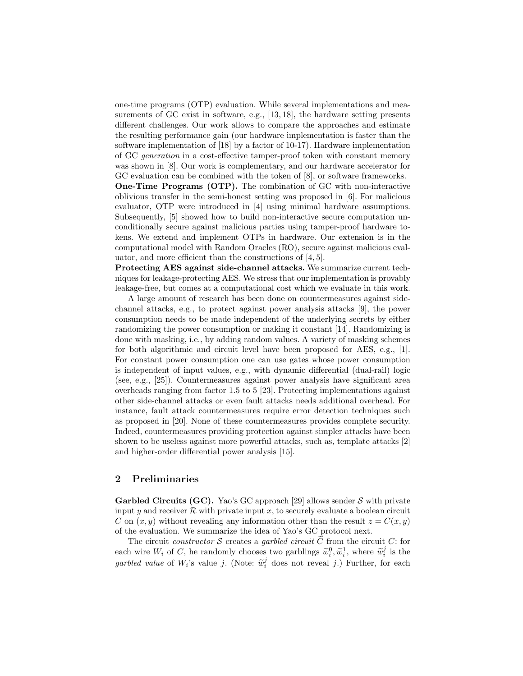one-time programs (OTP) evaluation. While several implementations and measurements of GC exist in software, e.g., [13, 18], the hardware setting presents different challenges. Our work allows to compare the approaches and estimate the resulting performance gain (our hardware implementation is faster than the software implementation of [18] by a factor of 10-17). Hardware implementation of GC generation in a cost-effective tamper-proof token with constant memory was shown in [8]. Our work is complementary, and our hardware accelerator for GC evaluation can be combined with the token of [8], or software frameworks.

One-Time Programs (OTP). The combination of GC with non-interactive oblivious transfer in the semi-honest setting was proposed in [6]. For malicious evaluator, OTP were introduced in [4] using minimal hardware assumptions. Subsequently, [5] showed how to build non-interactive secure computation unconditionally secure against malicious parties using tamper-proof hardware tokens. We extend and implement OTPs in hardware. Our extension is in the computational model with Random Oracles (RO), secure against malicious evaluator, and more efficient than the constructions of [4, 5].

Protecting AES against side-channel attacks. We summarize current techniques for leakage-protecting AES. We stress that our implementation is provably leakage-free, but comes at a computational cost which we evaluate in this work.

A large amount of research has been done on countermeasures against sidechannel attacks, e.g., to protect against power analysis attacks [9], the power consumption needs to be made independent of the underlying secrets by either randomizing the power consumption or making it constant [14]. Randomizing is done with masking, i.e., by adding random values. A variety of masking schemes for both algorithmic and circuit level have been proposed for AES, e.g., [1]. For constant power consumption one can use gates whose power consumption is independent of input values, e.g., with dynamic differential (dual-rail) logic (see, e.g., [25]). Countermeasures against power analysis have significant area overheads ranging from factor 1.5 to 5 [23]. Protecting implementations against other side-channel attacks or even fault attacks needs additional overhead. For instance, fault attack countermeasures require error detection techniques such as proposed in [20]. None of these countermeasures provides complete security. Indeed, countermeasures providing protection against simpler attacks have been shown to be useless against more powerful attacks, such as, template attacks [2] and higher-order differential power analysis [15].

## 2 Preliminaries

Garbled Circuits (GC). Yao's GC approach [29] allows sender  $S$  with private input y and receiver  $R$  with private input x, to securely evaluate a boolean circuit C on  $(x, y)$  without revealing any information other than the result  $z = C(x, y)$ of the evaluation. We summarize the idea of Yao's GC protocol next.

The circuit constructor S creates a garbled circuit C from the circuit C: for each wire  $W_i$  of C, he randomly chooses two garblings  $\widetilde{w}_i^0, \widetilde{w}_i^1$ , where  $\widetilde{w}_i^j$  is the garbled value of  $W_i$ 's value j. (Note:  $\widetilde{w}_i^j$  does not reveal j.) Further, for each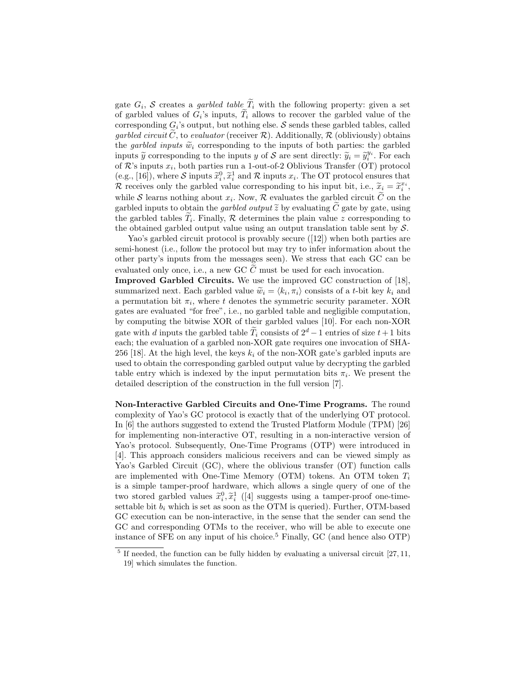gate  $G_i$ , S creates a *garbled table*  $T_i$  with the following property: given a set of garbled values of  $G_i$ 's inputs,  $T_i$  allows to recover the garbled value of the corresponding  $G_i$ 's output, but nothing else. S sends these garbled tables, called garbled circuit C, to evaluator (receiver  $\mathcal{R}$ ). Additionally,  $\mathcal{R}$  (obliviously) obtains the garbled inputs  $\tilde{w}_i$  corresponding to the inputs of both parties: the garbled inputs  $\widetilde{y}$  corresponding to the inputs y of S are sent directly:  $\widetilde{y}_i = \widetilde{y}_i^{y_i}$ . For each of  $\mathcal{R}$ 's inputs  $x_i$ , both parties run a 1-out-of-2 Oblivious Transfer (OT) protocol (e.g., [16]), where S inputs  $\tilde{x}_i^0$ ,  $\tilde{x}_i^1$  and  $\mathcal R$  inputs  $x_i$ . The OT protocol ensures that R receives only the garbled value corresponding to his input bit, i.e.,  $\widetilde{x}_i = \widetilde{x}_i^{x_i}$ , while S learns nothing about  $x_i$ . Now, R evaluates the garbled circuit C on the garbled inputs to obtain the *garbled output*  $\tilde{z}$  by evaluating  $\tilde{C}$  gate by gate, using the garbled tables  $T_i$ . Finally,  $R$  determines the plain value z corresponding to the obtained garbled output value using an output translation table sent by  $S$ .

Yao's garbled circuit protocol is provably secure ([12]) when both parties are semi-honest (i.e., follow the protocol but may try to infer information about the other party's inputs from the messages seen). We stress that each GC can be evaluated only once, i.e., a new GC  $C$  must be used for each invocation.

Improved Garbled Circuits. We use the improved GC construction of [18], summarized next. Each garbled value  $\widetilde{w}_i = \langle k_i, \pi_i \rangle$  consists of a t-bit key  $k_i$  and a permutation bit  $\pi_i$ , where t denotes the symmetric security parameter. XOR gates are evaluated "for free", i.e., no garbled table and negligible computation, by computing the bitwise XOR of their garbled values [10]. For each non-XOR gate with d inputs the garbled table  $\widetilde{T}_i$  consists of  $2^d - 1$  entries of size  $t + 1$  bits each; the evaluation of a garbled non-XOR gate requires one invocation of SHA-256 [18]. At the high level, the keys  $k_i$  of the non-XOR gate's garbled inputs are used to obtain the corresponding garbled output value by decrypting the garbled table entry which is indexed by the input permutation bits  $\pi_i$ . We present the detailed description of the construction in the full version [7].

Non-Interactive Garbled Circuits and One-Time Programs. The round complexity of Yao's GC protocol is exactly that of the underlying OT protocol. In [6] the authors suggested to extend the Trusted Platform Module (TPM) [26] for implementing non-interactive OT, resulting in a non-interactive version of Yao's protocol. Subsequently, One-Time Programs (OTP) were introduced in [4]. This approach considers malicious receivers and can be viewed simply as Yao's Garbled Circuit (GC), where the oblivious transfer (OT) function calls are implemented with One-Time Memory (OTM) tokens. An OTM token  $T_i$ is a simple tamper-proof hardware, which allows a single query of one of the two stored garbled values  $\tilde{x}_i^0$ ,  $\tilde{x}_i^1$  ([4] suggests using a tamper-proof one-time-<br>extends hit hardicle is not access using OTM is usual.) Further OTM hand settable bit  $b_i$  which is set as soon as the OTM is queried). Further, OTM-based GC execution can be non-interactive, in the sense that the sender can send the GC and corresponding OTMs to the receiver, who will be able to execute one instance of SFE on any input of his choice.<sup>5</sup> Finally, GC (and hence also  $\text{OTP}$ )

 $<sup>5</sup>$  If needed, the function can be fully hidden by evaluating a universal circuit [27, 11,</sup> 19] which simulates the function.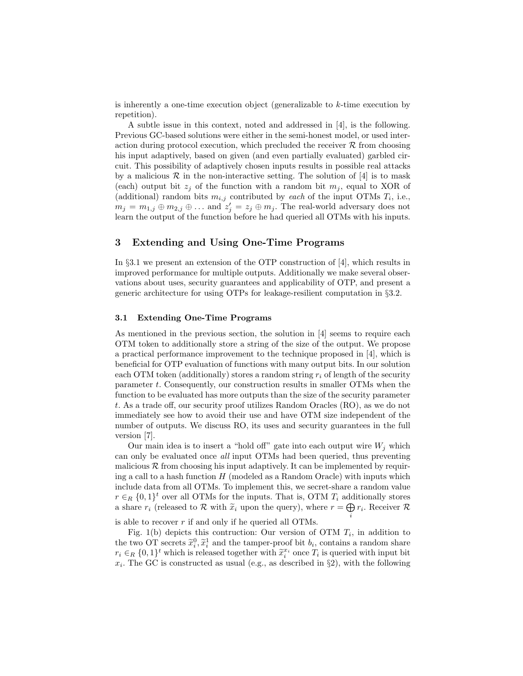is inherently a one-time execution object (generalizable to k-time execution by repetition).

A subtle issue in this context, noted and addressed in [4], is the following. Previous GC-based solutions were either in the semi-honest model, or used interaction during protocol execution, which precluded the receiver  $R$  from choosing his input adaptively, based on given (and even partially evaluated) garbled circuit. This possibility of adaptively chosen inputs results in possible real attacks by a malicious  $\mathcal R$  in the non-interactive setting. The solution of [4] is to mask (each) output bit  $z_j$  of the function with a random bit  $m_j$ , equal to XOR of (additional) random bits  $m_{i,j}$  contributed by each of the input OTMs  $T_i$ , i.e.,  $m_j = m_{1,j} \oplus m_{2,j} \oplus \ldots$  and  $z'_j = z_j \oplus m_j$ . The real-world adversary does not learn the output of the function before he had queried all OTMs with his inputs.

## 3 Extending and Using One-Time Programs

In §3.1 we present an extension of the OTP construction of [4], which results in improved performance for multiple outputs. Additionally we make several observations about uses, security guarantees and applicability of OTP, and present a generic architecture for using OTPs for leakage-resilient computation in §3.2.

#### 3.1 Extending One-Time Programs

As mentioned in the previous section, the solution in [4] seems to require each OTM token to additionally store a string of the size of the output. We propose a practical performance improvement to the technique proposed in [4], which is beneficial for OTP evaluation of functions with many output bits. In our solution each OTM token (additionally) stores a random string  $r_i$  of length of the security parameter t. Consequently, our construction results in smaller OTMs when the function to be evaluated has more outputs than the size of the security parameter t. As a trade off, our security proof utilizes Random Oracles (RO), as we do not immediately see how to avoid their use and have OTM size independent of the number of outputs. We discuss RO, its uses and security guarantees in the full version [7].

Our main idea is to insert a "hold off" gate into each output wire  $W_j$  which can only be evaluated once all input OTMs had been queried, thus preventing malicious  $\mathcal R$  from choosing his input adaptively. It can be implemented by requiring a call to a hash function  $H$  (modeled as a Random Oracle) with inputs which include data from all OTMs. To implement this, we secret-share a random value  $r \in_R \{0,1\}^t$  over all OTMs for the inputs. That is, OTM  $T_i$  additionally stores a share  $r_i$  (released to  $\mathcal R$  with  $\tilde{x}_i$  upon the query), where  $r = \bigoplus_i r_i$ . Receiver  $\mathcal R$ i

is able to recover r if and only if he queried all OTMs.

Fig. 1(b) depicts this contruction: Our version of OTM  $T_i$ , in addition to the two OT secrets  $\tilde{x}_i^0, \tilde{x}_i^1$  and the tamper-proof bit  $b_i$ , contains a random share  $r_i \in_R \{0,1\}^t$  which is released together with  $\tilde{x}_i^{x_i}$  once  $T_i$  is queried with input bit  $x_i$ . The GC is constructed as usual (e.g., as described in §2), with the following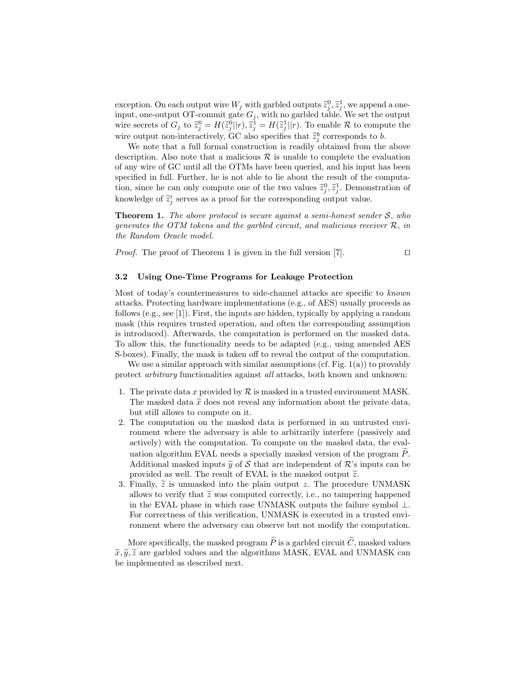exception. On each output wire  $W_j$  with garbled outputs  $\tilde{z}_j^0, \tilde{z}_j^1$ , we append a one-<br>in the set of contract  $\tilde{C}$  connect and  $\tilde{C}$  considered and the set of contract the set of input, one-output OT-commit gate  $G_j$ , with no garbled table. We set the output wire secrets of  $G_j$  to  $\hat{z}_j^0 = H(\hat{z}_j^0 || r), \hat{z}_j^1 = H(\hat{z}_j^1 || r)$ . To enable  $\mathcal R$  to compute the wire output non-interactively, GC also specifies that  $\hat{z}_j^b$  corresponds to b.<br>We note that a fall famuel construction is no dilumitational from the

We note that a full formal construction is readily obtained from the above description. Also note that a malicious  $\mathcal R$  is unable to complete the evaluation of any wire of GC until all the OTMs have been queried, and his input has been specified in full. Further, he is not able to lie about the result of the computation, since he can only compute one of the two values  $\tilde{z}_j^0$ ,  $\tilde{z}_j^1$ . Demonstration of knowledge of  $\tilde{z}_j^i$  serves as a proof for the corresponding output value.

**Theorem 1.** The above protocol is secure against a semi-honest sender  $S$ , who generates the OTM tokens and the garbled circuit, and malicious receiver R, in the Random Oracle model.

*Proof.* The proof of Theorem 1 is given in the full version [7].  $\Box$ 

#### 3.2 Using One-Time Programs for Leakage Protection

Most of today's countermeasures to side-channel attacks are specific to known attacks. Protecting hardware implementations (e.g., of AES) usually proceeds as follows (e.g., see [1]). First, the inputs are hidden, typically by applying a random mask (this requires trusted operation, and often the corresponding assumption is introduced). Afterwards, the computation is performed on the masked data. To allow this, the functionality needs to be adapted (e.g., using amended AES S-boxes). Finally, the mask is taken off to reveal the output of the computation.

We use a similar approach with similar assumptions  $(cf. Fig. 1(a))$  to provably protect arbitrary functionalities against all attacks, both known and unknown:

- 1. The private data x provided by  $\mathcal R$  is masked in a trusted environment MASK. The masked data  $\tilde{x}$  does not reveal any information about the private data, but still allows to compute on it.
- 2. The computation on the masked data is performed in an untrusted environment where the adversary is able to arbitrarily interfere (passively and actively) with the computation. To compute on the masked data, the evaluation algorithm EVAL needs a specially masked version of the program  $P$ . Additional masked inputs  $\tilde{y}$  of S that are independent of R's inputs can be provided as well. The result of EVAL is the masked output  $\tilde{z}$ .
- 3. Finally,  $\tilde{z}$  is unmasked into the plain output z. The procedure UNMASK allows to verify that  $\tilde{z}$  was computed correctly, i.e., no tampering happened in the EVAL phase in which case UNMASK outputs the failure symbol  $\perp$ . For correctness of this verification, UNMASK is executed in a trusted environment where the adversary can observe but not modify the computation.

More specifically, the masked program  $\widetilde{P}$  is a garbled circuit  $\widetilde{C}$ , masked values  $\widetilde{x}, \widetilde{y}, \widetilde{z}$  are garbled values and the algorithms MASK, EVAL and UNMASK can be implemented as described next.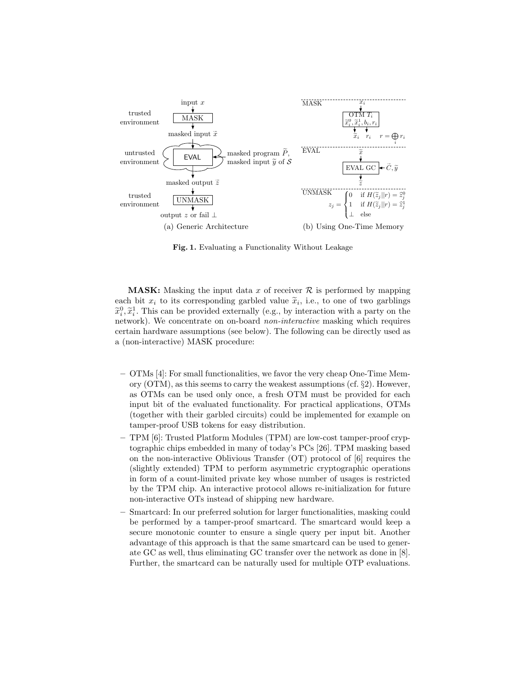

Fig. 1. Evaluating a Functionality Without Leakage

**MASK:** Masking the input data x of receiver  $\mathcal{R}$  is performed by mapping each bit  $x_i$  to its corresponding garbled value  $\tilde{x}_i$ , i.e., to one of two garblings  $\tilde{x}_i \geq 0$  $\tilde{x}_i^0, \tilde{x}_i^1$ . This can be provided externally (e.g., by interaction with a party on the network). We concentrate on on-board non-interactive masking which requires certain hardware assumptions (see below). The following can be directly used as a (non-interactive) MASK procedure:

- OTMs [4]: For small functionalities, we favor the very cheap One-Time Memory (OTM), as this seems to carry the weakest assumptions (cf. §2). However, as OTMs can be used only once, a fresh OTM must be provided for each input bit of the evaluated functionality. For practical applications, OTMs (together with their garbled circuits) could be implemented for example on tamper-proof USB tokens for easy distribution.
- TPM [6]: Trusted Platform Modules (TPM) are low-cost tamper-proof cryptographic chips embedded in many of today's PCs [26]. TPM masking based on the non-interactive Oblivious Transfer (OT) protocol of [6] requires the (slightly extended) TPM to perform asymmetric cryptographic operations in form of a count-limited private key whose number of usages is restricted by the TPM chip. An interactive protocol allows re-initialization for future non-interactive OTs instead of shipping new hardware.
- Smartcard: In our preferred solution for larger functionalities, masking could be performed by a tamper-proof smartcard. The smartcard would keep a secure monotonic counter to ensure a single query per input bit. Another advantage of this approach is that the same smartcard can be used to generate GC as well, thus eliminating GC transfer over the network as done in [8]. Further, the smartcard can be naturally used for multiple OTP evaluations.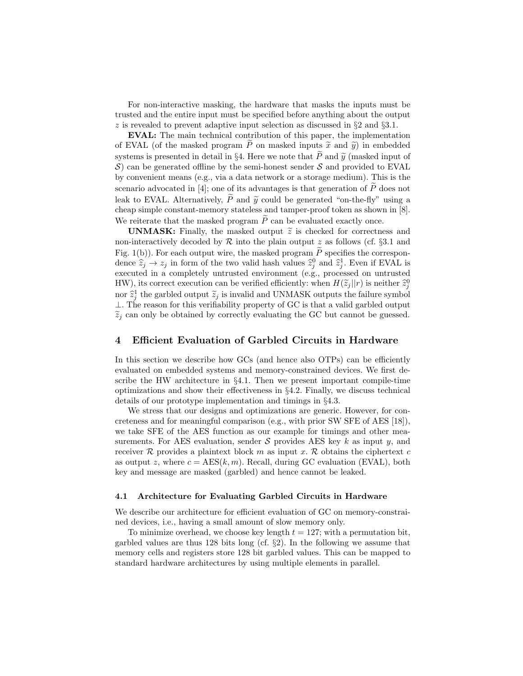For non-interactive masking, the hardware that masks the inputs must be trusted and the entire input must be specified before anything about the output z is revealed to prevent adaptive input selection as discussed in  $\S 2$  and  $\S 3.1$ .

EVAL: The main technical contribution of this paper, the implementation of EVAL (of the masked program  $\tilde{P}$  on masked inputs  $\tilde{x}$  and  $\tilde{y}$ ) in embedded systems is presented in detail in §4. Here we note that  $\widetilde{P}$  and  $\widetilde{y}$  (masked input of  $\mathcal{S}$ ) can be generated offline by the semi-honest sender  $\mathcal{S}$  and provided to EVAL by convenient means (e.g., via a data network or a storage medium). This is the scenario advocated in [4]; one of its advantages is that generation of  $\tilde{P}$  does not leak to EVAL. Alternatively,  $\widetilde{P}$  and  $\widetilde{y}$  could be generated "on-the-fly" using a cheap simple constant-memory stateless and tamper-proof token as shown in [8]. We reiterate that the masked program  $\widetilde{P}$  can be evaluated exactly once.

**UNMASK:** Finally, the masked output  $\tilde{z}$  is checked for correctness and non-interactively decoded by  $R$  into the plain output z as follows (cf. §3.1 and Fig. 1(b)). For each output wire, the masked program  $\tilde{P}$  specifies the correspondence  $\hat{z}_j \rightarrow z_j$  in form of the two valid hash values  $\hat{z}_j^0$  and  $\hat{z}_j^1$ . Even if EVAL is executed in a completely untrusted environment (e.g., processed on untrusted HW), its correct execution can be verified efficiently: when  $H(\tilde{z}_j||r)$  is neither  $\hat{z}_j^0$ nor  $\hat{z}_j^1$  the garbled output  $\tilde{z}_j$  is invalid and UNMASK outputs the failure symbol ⊥. The reason for this verifiability property of GC is that a valid garbled output  $\tilde{z}_i$  can only be obtained by correctly evaluating the GC but cannot be guessed.

## 4 Efficient Evaluation of Garbled Circuits in Hardware

In this section we describe how GCs (and hence also OTPs) can be efficiently evaluated on embedded systems and memory-constrained devices. We first describe the HW architecture in §4.1. Then we present important compile-time optimizations and show their effectiveness in §4.2. Finally, we discuss technical details of our prototype implementation and timings in §4.3.

We stress that our designs and optimizations are generic. However, for concreteness and for meaningful comparison (e.g., with prior SW SFE of AES [18]), we take SFE of the AES function as our example for timings and other measurements. For AES evaluation, sender  $S$  provides AES key k as input y, and receiver R provides a plaintext block m as input x. R obtains the ciphertext c as output z, where  $c = \text{AES}(k, m)$ . Recall, during GC evaluation (EVAL), both key and message are masked (garbled) and hence cannot be leaked.

#### 4.1 Architecture for Evaluating Garbled Circuits in Hardware

We describe our architecture for efficient evaluation of GC on memory-constrained devices, i.e., having a small amount of slow memory only.

To minimize overhead, we choose key length  $t = 127$ ; with a permutation bit, garbled values are thus 128 bits long (cf.  $\S2$ ). In the following we assume that memory cells and registers store 128 bit garbled values. This can be mapped to standard hardware architectures by using multiple elements in parallel.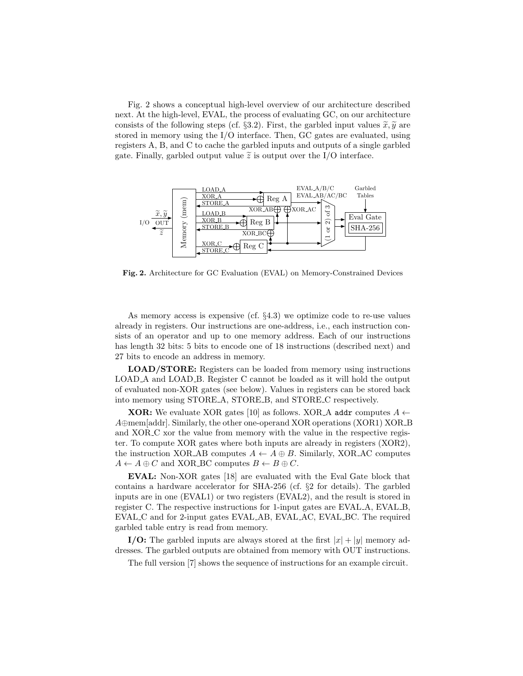Fig. 2 shows a conceptual high-level overview of our architecture described next. At the high-level, EVAL, the process of evaluating GC, on our architecture consists of the following steps (cf. §3.2). First, the garbled input values  $\tilde{x}, \tilde{y}$  are stored in memory using the I/O interface. Then, GC gates are evaluated, using registers A, B, and C to cache the garbled inputs and outputs of a single garbled gate. Finally, garbled output value  $\tilde{z}$  is output over the I/O interface.



Fig. 2. Architecture for GC Evaluation (EVAL) on Memory-Constrained Devices

As memory access is expensive (cf. §4.3) we optimize code to re-use values already in registers. Our instructions are one-address, i.e., each instruction consists of an operator and up to one memory address. Each of our instructions has length 32 bits: 5 bits to encode one of 18 instructions (described next) and 27 bits to encode an address in memory.

LOAD/STORE: Registers can be loaded from memory using instructions LOAD A and LOAD B. Register C cannot be loaded as it will hold the output of evaluated non-XOR gates (see below). Values in registers can be stored back into memory using STORE A, STORE B, and STORE C respectively.

**XOR:** We evaluate XOR gates [10] as follows. XOR A addr computes  $A \leftarrow$ A⊕mem[addr]. Similarly, the other one-operand XOR operations (XOR1) XOR B and XOR<sub>-</sub>C xor the value from memory with the value in the respective register. To compute XOR gates where both inputs are already in registers (XOR2), the instruction XOR\_AB computes  $A \leftarrow A \oplus B$ . Similarly, XOR\_AC computes  $A \leftarrow A \oplus C$  and XOR\_BC computes  $B \leftarrow B \oplus C$ .

EVAL: Non-XOR gates [18] are evaluated with the Eval Gate block that contains a hardware accelerator for SHA-256 (cf. §2 for details). The garbled inputs are in one (EVAL1) or two registers (EVAL2), and the result is stored in register C. The respective instructions for 1-input gates are EVAL A, EVAL B, EVAL C and for 2-input gates EVAL AB, EVAL AC, EVAL BC. The required garbled table entry is read from memory.

I/O: The garbled inputs are always stored at the first  $|x| + |y|$  memory addresses. The garbled outputs are obtained from memory with OUT instructions.

The full version [7] shows the sequence of instructions for an example circuit.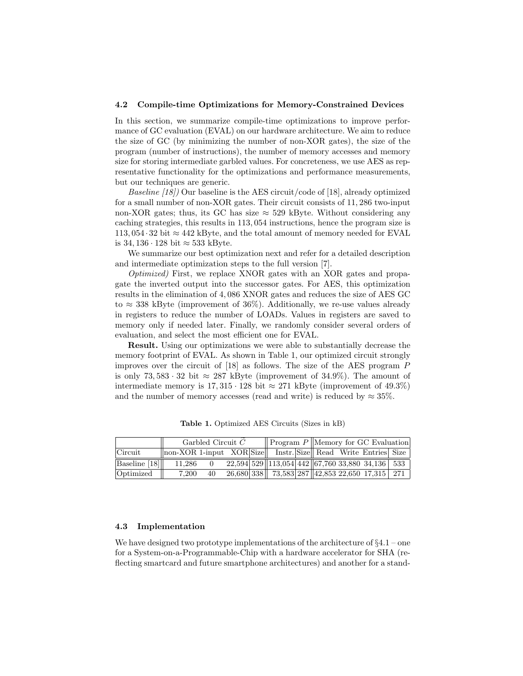#### 4.2 Compile-time Optimizations for Memory-Constrained Devices

In this section, we summarize compile-time optimizations to improve performance of GC evaluation (EVAL) on our hardware architecture. We aim to reduce the size of GC (by minimizing the number of non-XOR gates), the size of the program (number of instructions), the number of memory accesses and memory size for storing intermediate garbled values. For concreteness, we use AES as representative functionality for the optimizations and performance measurements, but our techniques are generic.

Baseline [18]) Our baseline is the AES circuit/code of [18], already optimized for a small number of non-XOR gates. Their circuit consists of 11, 286 two-input non-XOR gates; thus, its GC has size  $\approx$  529 kByte. Without considering any caching strategies, this results in 113, 054 instructions, hence the program size is  $113,054 \cdot 32$  bit  $\approx 442$  kByte, and the total amount of memory needed for EVAL is 34, 136 · 128 bit ≈ 533 kByte.

We summarize our best optimization next and refer for a detailed description and intermediate optimization steps to the full version [7].

Optimized) First, we replace XNOR gates with an XOR gates and propagate the inverted output into the successor gates. For AES, this optimization results in the elimination of 4, 086 XNOR gates and reduces the size of AES GC to  $\approx$  338 kByte (improvement of 36%). Additionally, we re-use values already in registers to reduce the number of LOADs. Values in registers are saved to memory only if needed later. Finally, we randomly consider several orders of evaluation, and select the most efficient one for EVAL.

Result. Using our optimizations we were able to substantially decrease the memory footprint of EVAL. As shown in Table 1, our optimized circuit strongly improves over the circuit of [18] as follows. The size of the AES program P is only 73, 583 · 32 bit  $\approx$  287 kByte (improvement of 34.9%). The amount of intermediate memory is  $17,315 \cdot 128$  bit  $\approx 271$  kByte (improvement of 49.3%) and the number of memory accesses (read and write) is reduced by  $\approx 35\%$ .

|               | Garbled Circuit $C$                                               |    |  |  |                                                                        |  | $\parallel$ Program P $\parallel$ Memory for GC Evaluation |  |  |  |
|---------------|-------------------------------------------------------------------|----|--|--|------------------------------------------------------------------------|--|------------------------------------------------------------|--|--|--|
| Circuit       | non-XOR 1-input XOR Size   Instr. Size   Read Write Entries  Size |    |  |  |                                                                        |  |                                                            |  |  |  |
| Baseline [18] | 11.286                                                            |    |  |  | $\sqrt{22,594 529  113,054 442  67,76033,88034,136 533}$               |  |                                                            |  |  |  |
| Optimized     | 7,200                                                             | 40 |  |  | $\sqrt{26,680}$ 338   $\sqrt{73,583}$ 287   42,853 22,650 17,315   271 |  |                                                            |  |  |  |

Table 1. Optimized AES Circuits (Sizes in kB)

#### 4.3 Implementation

We have designed two prototype implementations of the architecture of  $\S 4.1$  – one for a System-on-a-Programmable-Chip with a hardware accelerator for SHA (reflecting smartcard and future smartphone architectures) and another for a stand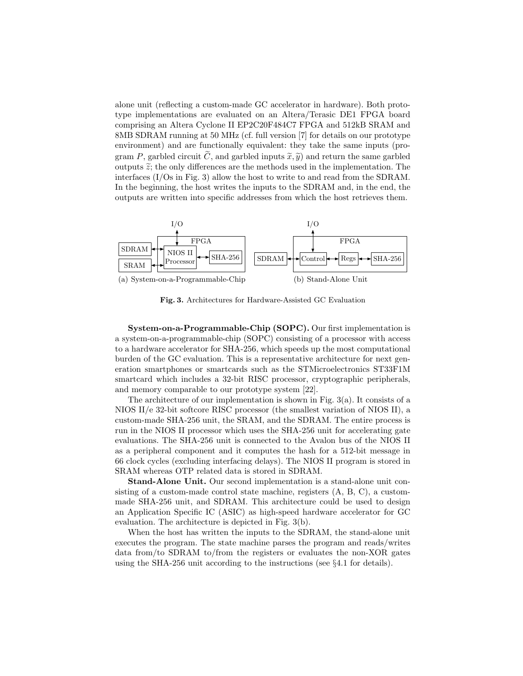alone unit (reflecting a custom-made GC accelerator in hardware). Both prototype implementations are evaluated on an Altera/Terasic DE1 FPGA board comprising an Altera Cyclone II EP2C20F484C7 FPGA and 512kB SRAM and 8MB SDRAM running at 50 MHz (cf. full version [7] for details on our prototype environment) and are functionally equivalent: they take the same inputs (program P, garbled circuit  $\tilde{C}$ , and garbled inputs  $\tilde{x}, \tilde{y}$  and return the same garbled outputs  $\tilde{z}$ ; the only differences are the methods used in the implementation. The interfaces (I/Os in Fig. 3) allow the host to write to and read from the SDRAM. In the beginning, the host writes the inputs to the SDRAM and, in the end, the outputs are written into specific addresses from which the host retrieves them.



Fig. 3. Architectures for Hardware-Assisted GC Evaluation

System-on-a-Programmable-Chip (SOPC). Our first implementation is a system-on-a-programmable-chip (SOPC) consisting of a processor with access to a hardware accelerator for SHA-256, which speeds up the most computational burden of the GC evaluation. This is a representative architecture for next generation smartphones or smartcards such as the STMicroelectronics ST33F1M smartcard which includes a 32-bit RISC processor, cryptographic peripherals, and memory comparable to our prototype system [22].

The architecture of our implementation is shown in Fig. 3(a). It consists of a NIOS II/e 32-bit softcore RISC processor (the smallest variation of NIOS II), a custom-made SHA-256 unit, the SRAM, and the SDRAM. The entire process is run in the NIOS II processor which uses the SHA-256 unit for accelerating gate evaluations. The SHA-256 unit is connected to the Avalon bus of the NIOS II as a peripheral component and it computes the hash for a 512-bit message in 66 clock cycles (excluding interfacing delays). The NIOS II program is stored in SRAM whereas OTP related data is stored in SDRAM.

Stand-Alone Unit. Our second implementation is a stand-alone unit consisting of a custom-made control state machine, registers (A, B, C), a custommade SHA-256 unit, and SDRAM. This architecture could be used to design an Application Specific IC (ASIC) as high-speed hardware accelerator for GC evaluation. The architecture is depicted in Fig. 3(b).

When the host has written the inputs to the SDRAM, the stand-alone unit executes the program. The state machine parses the program and reads/writes data from/to SDRAM to/from the registers or evaluates the non-XOR gates using the SHA-256 unit according to the instructions (see §4.1 for details).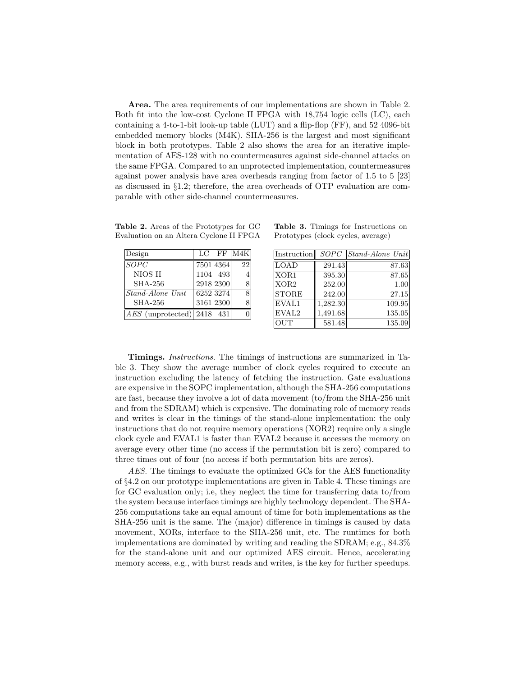Area. The area requirements of our implementations are shown in Table 2. Both fit into the low-cost Cyclone II FPGA with 18,754 logic cells (LC), each containing a 4-to-1-bit look-up table (LUT) and a flip-flop (FF), and 52 4096-bit embedded memory blocks (M4K). SHA-256 is the largest and most significant block in both prototypes. Table 2 also shows the area for an iterative implementation of AES-128 with no countermeasures against side-channel attacks on the same FPGA. Compared to an unprotected implementation, countermeasures against power analysis have area overheads ranging from factor of 1.5 to 5 [23] as discussed in §1.2; therefore, the area overheads of OTP evaluation are comparable with other side-channel countermeasures.

Table 2. Areas of the Prototypes for GC Evaluation on an Altera Cyclone II FPGA

| Design                              | LC        |           | $ $ FF $ M4K $ |
|-------------------------------------|-----------|-----------|----------------|
| SOPC                                |           | 7501 4364 | 22             |
| NIOS II                             |           | 1104 493  |                |
| <b>SHA-256</b>                      |           | 2918 2300 |                |
| $Stand$ -Alone Unit                 | 6252 3274 |           | 8              |
| <b>SHA-256</b>                      |           | 3161 2300 |                |
| $ AES \text{ (unprotected)}  2418 $ |           | - 431     |                |

Table 3. Timings for Instructions on Prototypes (clock cycles, average)

| Instruction       | <i>SOPC</i> | $\left  \textit{Stand-Alone Unit} \right $ |
|-------------------|-------------|--------------------------------------------|
| LOAD              | 291.43      | 87.63                                      |
| XOR1              | 395.30      | 87.65                                      |
| XOR <sub>2</sub>  | 252.00      | 1.00                                       |
| <b>STORE</b>      | 242.00      | 27.15                                      |
| EVAL1             | 1,282.30    | 109.95                                     |
| EVAL <sub>2</sub> | 1,491.68    | 135.05                                     |
| <b>OUT</b>        | 581.48      | 135.09                                     |

Timings. Instructions. The timings of instructions are summarized in Table 3. They show the average number of clock cycles required to execute an instruction excluding the latency of fetching the instruction. Gate evaluations are expensive in the SOPC implementation, although the SHA-256 computations are fast, because they involve a lot of data movement (to/from the SHA-256 unit and from the SDRAM) which is expensive. The dominating role of memory reads and writes is clear in the timings of the stand-alone implementation: the only instructions that do not require memory operations (XOR2) require only a single clock cycle and EVAL1 is faster than EVAL2 because it accesses the memory on average every other time (no access if the permutation bit is zero) compared to three times out of four (no access if both permutation bits are zeros).

AES. The timings to evaluate the optimized GCs for the AES functionality of §4.2 on our prototype implementations are given in Table 4. These timings are for GC evaluation only; i.e, they neglect the time for transferring data to/from the system because interface timings are highly technology dependent. The SHA-256 computations take an equal amount of time for both implementations as the SHA-256 unit is the same. The (major) difference in timings is caused by data movement, XORs, interface to the SHA-256 unit, etc. The runtimes for both implementations are dominated by writing and reading the SDRAM; e.g., 84.3% for the stand-alone unit and our optimized AES circuit. Hence, accelerating memory access, e.g., with burst reads and writes, is the key for further speedups.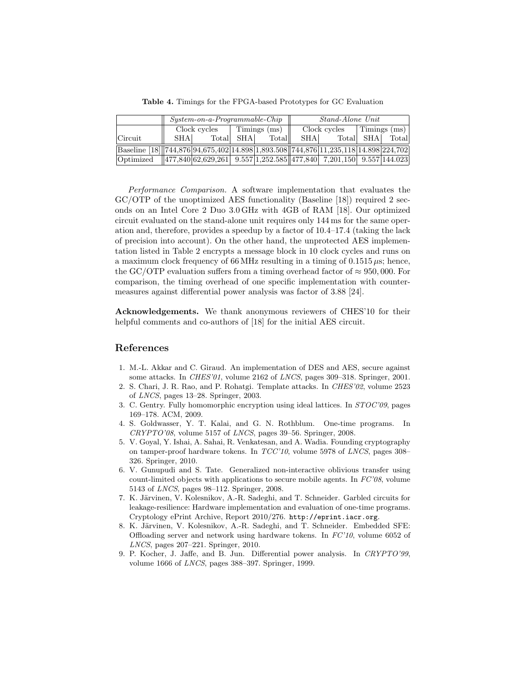|                                                                                     | $System-on-a-Programmable-Chip$ |  |                                               |        | Stand-Alone Unit                     |           |  |              |  |
|-------------------------------------------------------------------------------------|---------------------------------|--|-----------------------------------------------|--------|--------------------------------------|-----------|--|--------------|--|
|                                                                                     |                                 |  | $\text{Clock cycles}$   Timings $\text{(ms)}$ |        | $\text{Clock cycles}$   Timings (ms) |           |  |              |  |
| Circuit                                                                             | <b>SHA</b>                      |  | Total SHA                                     | Totall | SHA                                  | Total SHA |  | <b>Total</b> |  |
| Baseline [18] 744,876 94,675,402 14.898 1,893.508 744,876 11,235,118 14.898 224,702 |                                 |  |                                               |        |                                      |           |  |              |  |
| Optimized 477,840 62,629,261 9.557 1,252.585 477,840 7,201,150 9.557 144.023        |                                 |  |                                               |        |                                      |           |  |              |  |

Table 4. Timings for the FPGA-based Prototypes for GC Evaluation

Performance Comparison. A software implementation that evaluates the GC/OTP of the unoptimized AES functionality (Baseline [18]) required 2 seconds on an Intel Core 2 Duo 3.0 GHz with 4GB of RAM [18]. Our optimized circuit evaluated on the stand-alone unit requires only 144 ms for the same operation and, therefore, provides a speedup by a factor of 10.4–17.4 (taking the lack of precision into account). On the other hand, the unprotected AES implementation listed in Table 2 encrypts a message block in 10 clock cycles and runs on a maximum clock frequency of 66 MHz resulting in a timing of 0.1515  $\mu$ s; hence, the GC/OTP evaluation suffers from a timing overhead factor of  $\approx 950,000$ . For comparison, the timing overhead of one specific implementation with countermeasures against differential power analysis was factor of 3.88 [24].

Acknowledgements. We thank anonymous reviewers of CHES'10 for their helpful comments and co-authors of [18] for the initial AES circuit.

## References

- 1. M.-L. Akkar and C. Giraud. An implementation of DES and AES, secure against some attacks. In CHES'01, volume 2162 of LNCS, pages 309–318. Springer, 2001.
- 2. S. Chari, J. R. Rao, and P. Rohatgi. Template attacks. In CHES'02, volume 2523 of LNCS, pages 13–28. Springer, 2003.
- 3. C. Gentry. Fully homomorphic encryption using ideal lattices. In STOC'09, pages 169–178. ACM, 2009.
- 4. S. Goldwasser, Y. T. Kalai, and G. N. Rothblum. One-time programs. In CRYPTO'08, volume 5157 of LNCS, pages 39–56. Springer, 2008.
- 5. V. Goyal, Y. Ishai, A. Sahai, R. Venkatesan, and A. Wadia. Founding cryptography on tamper-proof hardware tokens. In TCC'10, volume 5978 of LNCS, pages 308– 326. Springer, 2010.
- 6. V. Gunupudi and S. Tate. Generalized non-interactive oblivious transfer using count-limited objects with applications to secure mobile agents. In  $FC'08$ , volume 5143 of LNCS, pages 98–112. Springer, 2008.
- 7. K. Järvinen, V. Kolesnikov, A.-R. Sadeghi, and T. Schneider. Garbled circuits for leakage-resilience: Hardware implementation and evaluation of one-time programs. Cryptology ePrint Archive, Report 2010/276. http://eprint.iacr.org.
- 8. K. Järvinen, V. Kolesnikov, A.-R. Sadeghi, and T. Schneider. Embedded SFE: Offloading server and network using hardware tokens. In FC'10, volume 6052 of LNCS, pages 207–221. Springer, 2010.
- 9. P. Kocher, J. Jaffe, and B. Jun. Differential power analysis. In CRYPTO'99, volume 1666 of LNCS, pages 388–397. Springer, 1999.